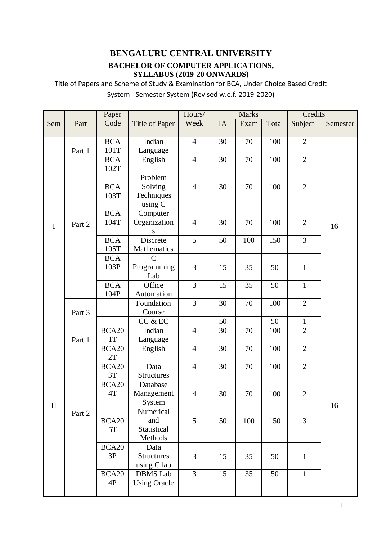# **BENGALURU CENTRAL UNIVERSITY**

### **BACHELOR OF COMPUTER APPLICATIONS, SYLLABUS (2019-20 ONWARDS)**

Title of Papers and Scheme of Study & Examination for BCA, Under Choice Based Credit System - Semester System (Revised w.e.f. 2019-2020)

|              |        | Paper              |                     |                | <b>Marks</b> |      |       | Credits        |          |
|--------------|--------|--------------------|---------------------|----------------|--------------|------|-------|----------------|----------|
| Sem          | Part   | Code               | Title of Paper      | Week           | IA           | Exam | Total | Subject        | Semester |
|              |        |                    |                     |                |              |      |       |                |          |
|              |        | <b>BCA</b>         | Indian              | $\overline{4}$ | 30           | 70   | 100   | $\overline{2}$ |          |
|              | Part 1 | 101T               | Language            |                |              |      |       |                |          |
|              |        | <b>BCA</b>         | English             | $\overline{4}$ | 30           | 70   | 100   | $\overline{2}$ |          |
|              |        | 102T               |                     |                |              |      |       |                |          |
|              |        |                    | Problem             |                |              |      |       |                |          |
|              |        | <b>BCA</b>         | Solving             | $\overline{4}$ | 30           | 70   | 100   | $\overline{2}$ |          |
|              |        | 103T               | Techniques          |                |              |      |       |                |          |
|              |        |                    | using C             |                |              |      |       |                |          |
|              |        | <b>BCA</b>         | Computer            |                |              |      |       |                |          |
| $\mathbf I$  | Part 2 | 104T               | Organization        | $\overline{4}$ | 30           | 70   | 100   | $\overline{2}$ | 16       |
|              |        |                    | ${\bf S}$           |                |              |      |       |                |          |
|              |        | <b>BCA</b>         | Discrete            | 5              | 50           | 100  | 150   | $\overline{3}$ |          |
|              |        | 105T               | Mathematics         |                |              |      |       |                |          |
|              |        | <b>BCA</b>         | $\mathcal{C}$       |                |              |      |       |                |          |
|              |        | 103P               | Programming         | 3              | 15           | 35   | 50    | $\mathbf{1}$   |          |
|              |        |                    | Lab<br>Office       | 3              |              |      |       |                |          |
|              |        | <b>BCA</b><br>104P | Automation          |                | 15           | 35   | 50    | $\mathbf{1}$   |          |
|              |        |                    | Foundation          | $\overline{3}$ | 30           | 70   | 100   | $\overline{2}$ |          |
|              | Part 3 |                    | Course              |                |              |      |       |                |          |
|              |        |                    | CC & EC             |                | 50           |      | 50    | 1              |          |
|              |        | BCA20              | Indian              | $\overline{4}$ | 30           | 70   | 100   | $\overline{2}$ |          |
|              | Part 1 | 1T                 | Language            |                |              |      |       |                |          |
| $\mathbf{I}$ |        | BCA <sub>20</sub>  | English             | $\overline{4}$ | 30           | 70   | 100   | $\overline{2}$ |          |
|              |        | 2T                 |                     |                |              |      |       |                |          |
|              |        | BCA <sub>20</sub>  | Data                | $\overline{4}$ | 30           | 70   | 100   | $\overline{2}$ |          |
|              |        | 3T                 | <b>Structures</b>   |                |              |      |       |                |          |
|              |        | BCA20              | Database            |                |              |      |       |                |          |
|              |        | 4T                 | Management          | 4              | 30           | 70   | 100   | $\overline{2}$ |          |
|              |        |                    | System              |                |              |      |       |                | 16       |
|              | Part 2 |                    | Numerical           |                |              |      |       |                |          |
|              |        | BCA <sub>20</sub>  | and                 | 5              | 50           | 100  | 150   | 3              |          |
|              |        | 5T                 | Statistical         |                |              |      |       |                |          |
|              |        |                    | Methods             |                |              |      |       |                |          |
|              |        | BCA <sub>20</sub>  | Data                |                |              |      |       |                |          |
|              |        | 3P                 | <b>Structures</b>   | 3              | 15           | 35   | 50    | $\mathbf{1}$   |          |
|              |        |                    | using C lab         |                |              |      |       |                |          |
|              |        | BCA20              | <b>DBMS</b> Lab     | 3              | 15           | 35   | 50    | $\mathbf{1}$   |          |
|              |        | 4P                 | <b>Using Oracle</b> |                |              |      |       |                |          |
|              |        |                    |                     |                |              |      |       |                |          |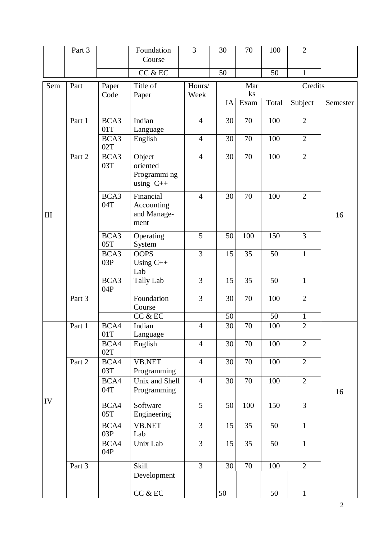|     | Part 3 |               | Foundation                                        | $\overline{3}$  | 30              | 70                    | 100             | $\overline{2}$ |          |
|-----|--------|---------------|---------------------------------------------------|-----------------|-----------------|-----------------------|-----------------|----------------|----------|
|     |        |               | Course                                            |                 |                 |                       |                 |                |          |
|     |        |               | CC & EC                                           |                 | 50              |                       | 50              | $\mathbf{1}$   |          |
| Sem | Part   | Paper<br>Code | Title of<br>Paper                                 | Hours/<br>Week  |                 | Mar<br>$\mathbf{k}$ s |                 | Credits        |          |
|     |        |               |                                                   |                 | IA              | Exam                  | Total           | Subject        | Semester |
| III | Part 1 | BCA3<br>01T   | Indian<br>Language                                | $\overline{4}$  | 30              | 70                    | 100             | $\overline{2}$ | 16       |
|     |        | BCA3<br>02T   | English                                           | $\overline{4}$  | 30              | 70                    | 100             | $\mathbf{2}$   |          |
|     | Part 2 | BCA3<br>03T   | Object<br>oriented<br>Programmi ng<br>using $C++$ | $\overline{4}$  | 30              | 70                    | 100             | $\overline{2}$ |          |
|     |        | BCA3<br>04T   | Financial<br>Accounting<br>and Manage-<br>ment    | $\overline{4}$  | 30              | 70                    | 100             | $\overline{2}$ |          |
|     |        | BCA3<br>05T   | Operating<br>System                               | $\overline{5}$  | 50              | 100                   | 150             | $\overline{3}$ |          |
|     |        | BCA3<br>03P   | <b>OOPS</b><br>Using $C++$<br>Lab                 | $\overline{3}$  | 15              | 35                    | 50              | $\mathbf{1}$   |          |
|     |        | BCA3<br>04P   | <b>Tally Lab</b>                                  | 3               | 15              | 35                    | 50              | $\mathbf{1}$   |          |
|     | Part 3 |               | Foundation<br>Course                              | 3               | 30              | 70                    | 100             | $\overline{2}$ |          |
|     |        |               | CC & EC                                           |                 | 50              |                       | $\overline{50}$ | $\mathbf{1}$   |          |
| IV  | Part 1 | BCA4<br>01T   | Indian<br>Language                                | $\overline{4}$  | $30\,$          | 70                    | 100             | $\overline{2}$ |          |
|     |        | BCA4<br>02T   | English                                           | $\overline{4}$  | 30              | 70                    | 100             | $\overline{2}$ |          |
|     | Part 2 | BCA4<br>03T   | <b>VB.NET</b><br>Programming                      | $\overline{4}$  | 30              | 70                    | 100             | $\overline{2}$ |          |
|     |        | BCA4<br>04T   | Unix and Shell<br>Programming                     | $\overline{4}$  | 30              | 70                    | 100             | $\overline{2}$ | 16       |
|     |        | BCA4<br>05T   | Software<br>Engineering                           | $5\overline{)}$ | 50              | 100                   | 150             | 3              |          |
|     |        | BCA4<br>03P   | <b>VB.NET</b><br>Lab                              | $\overline{3}$  | 15              | 35                    | 50              | $\mathbf{1}$   |          |
|     |        | BCA4<br>04P   | Unix Lab                                          | $\overline{3}$  | 15              | 35                    | 50              | $\mathbf{1}$   |          |
|     | Part 3 |               | Skill                                             | $\overline{3}$  | 30              | 70                    | 100             | $\overline{2}$ |          |
|     |        |               | Development                                       |                 |                 |                       |                 |                |          |
|     |        |               | CC & EC                                           |                 | $\overline{50}$ |                       | $\overline{50}$ | $\overline{1}$ |          |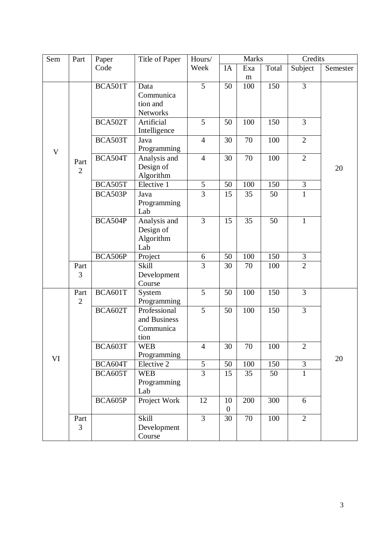| Sem | Part           | Paper   | Title of Paper   | Hours/         | <b>Marks</b>   |     |       | Credits        |          |
|-----|----------------|---------|------------------|----------------|----------------|-----|-------|----------------|----------|
|     |                | Code    |                  | Week           | IA             | Exa | Total | Subject        | Semester |
|     |                |         |                  |                |                | m   |       |                |          |
|     |                | BCA501T | Data             | 5              | 50             | 100 | 150   | $\overline{3}$ |          |
|     |                |         | Communica        |                |                |     |       |                |          |
|     |                |         | tion and         |                |                |     |       |                |          |
|     |                |         | Networks         |                |                |     |       |                |          |
|     |                | BCA502T | Artificial       | 5              | 50             | 100 | 150   | 3              |          |
|     |                |         | Intelligence     |                |                |     |       |                |          |
|     |                | BCA503T | Java             | $\overline{4}$ | 30             | 70  | 100   | $\overline{2}$ |          |
| V   |                |         | Programming      |                |                |     |       |                |          |
|     | Part           | BCA504T | Analysis and     | $\overline{4}$ | 30             | 70  | 100   | $\overline{2}$ |          |
|     | $\overline{2}$ |         | Design of        |                |                |     |       |                | 20       |
|     |                |         | Algorithm        |                |                |     |       |                |          |
|     |                | BCA505T | Elective 1       | $\sqrt{5}$     | 50             | 100 | 150   | $\overline{3}$ |          |
|     |                | BCA503P | Java             | $\overline{3}$ | 15             | 35  | 50    | $\overline{1}$ |          |
|     |                |         | Programming      |                |                |     |       |                |          |
|     |                |         | Lab              |                |                |     |       |                |          |
|     |                | BCA504P | Analysis and     | 3              | 15             | 35  | 50    | $\mathbf{1}$   |          |
|     |                |         | Design of        |                |                |     |       |                |          |
|     |                |         | Algorithm<br>Lab |                |                |     |       |                |          |
|     |                | BCA506P | Project          | 6              | 50             | 100 | 150   | 3              |          |
|     | Part           |         | <b>Skill</b>     | 3              | 30             | 70  | 100   | $\overline{2}$ |          |
|     | 3              |         | Development      |                |                |     |       |                |          |
|     |                |         | Course           |                |                |     |       |                |          |
|     | Part           | BCA601T | System           | 5              | 50             | 100 | 150   | 3              |          |
|     | $\overline{2}$ |         | Programming      |                |                |     |       |                |          |
|     |                | BCA602T | Professional     | 5              | 50             | 100 | 150   | $\overline{3}$ |          |
|     |                |         | and Business     |                |                |     |       |                |          |
|     |                |         | Communica        |                |                |     |       |                |          |
|     |                |         | tion             |                |                |     |       |                |          |
|     |                | BCA603T | <b>WEB</b>       | $\overline{4}$ | 30             | 70  | 100   | $\overline{2}$ |          |
| VI  |                |         | Programming      |                |                |     |       |                | 20       |
|     |                | BCA604T | Elective 2       | 5              | 50             | 100 | 150   | $\overline{3}$ |          |
|     |                | BCA605T | <b>WEB</b>       | $\overline{3}$ | 15             | 35  | 50    | $\mathbf{1}$   |          |
|     |                |         | Programming      |                |                |     |       |                |          |
|     |                |         | Lab              |                |                |     |       |                |          |
|     |                | BCA605P | Project Work     | 12             | 10             | 200 | 300   | 6              |          |
|     |                |         |                  |                | $\overline{0}$ |     |       |                |          |
|     | Part           |         | Skill            | $\overline{3}$ | 30             | 70  | 100   | $\overline{2}$ |          |
|     | 3              |         | Development      |                |                |     |       |                |          |
|     |                |         | Course           |                |                |     |       |                |          |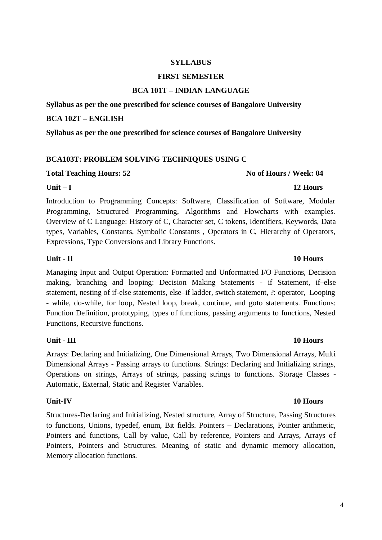### **SYLLABUS**

### **FIRST SEMESTER**

### **BCA 101T – INDIAN LANGUAGE**

**Syllabus as per the one prescribed for science courses of Bangalore University** 

### **BCA 102T – ENGLISH**

**Syllabus as per the one prescribed for science courses of Bangalore University**

### **BCA103T: PROBLEM SOLVING TECHNIQUES USING C**

### Total Teaching Hours: 52 **No of Hours / Week: 04 No of Hours / Week: 04**

### **Unit – I 12 Hours**

Introduction to Programming Concepts: Software, Classification of Software, Modular Programming, Structured Programming, Algorithms and Flowcharts with examples. Overview of C Language: History of C, Character set, C tokens, Identifiers, Keywords, Data types, Variables, Constants, Symbolic Constants , Operators in C, Hierarchy of Operators, Expressions, Type Conversions and Library Functions.

Managing Input and Output Operation: Formatted and Unformatted I/O Functions, Decision making, branching and looping: Decision Making Statements - if Statement, if–else statement, nesting of if-else statements, else–if ladder, switch statement, ?: operator, Looping - while, do-while, for loop, Nested loop, break, continue, and goto statements. Functions: Function Definition, prototyping, types of functions, passing arguments to functions, Nested Functions, Recursive functions.

### **Unit - III 10 Hours**

Arrays: Declaring and Initializing, One Dimensional Arrays, Two Dimensional Arrays, Multi Dimensional Arrays - Passing arrays to functions. Strings: Declaring and Initializing strings, Operations on strings, Arrays of strings, passing strings to functions. Storage Classes - Automatic, External, Static and Register Variables.

Structures-Declaring and Initializing, Nested structure, Array of Structure, Passing Structures to functions, Unions, typedef, enum, Bit fields. Pointers – Declarations, Pointer arithmetic, Pointers and functions, Call by value, Call by reference, Pointers and Arrays, Arrays of Pointers, Pointers and Structures. Meaning of static and dynamic memory allocation, Memory allocation functions.

### **Unit - II 10 Hours**

## **Unit-IV 10 Hours**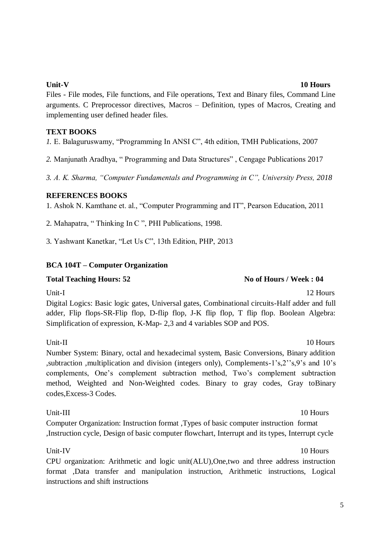Files - File modes, File functions, and File operations, Text and Binary files, Command Line arguments. C Preprocessor directives, Macros – Definition, types of Macros, Creating and implementing user defined header files.

### **TEXT BOOKS**

*1.* E. Balaguruswamy, "Programming In ANSI C", 4th edition, TMH Publications, 2007

*2.* Manjunath Aradhya, " Programming and Data Structures" , Cengage Publications 2017

*3. A. K. Sharma, "Computer Fundamentals and Programming in C", University Press, 2018*

### **REFERENCES BOOKS**

1. Ashok N. Kamthane et. al., "Computer Programming and IT", Pearson Education, 2011

2. Mahapatra, " Thinking In C ", PHI Publications, 1998.

3. Yashwant Kanetkar, "Let Us C", 13th Edition, PHP, 2013

## **BCA 104T – Computer Organization**

## **Total Teaching Hours: 52 No of Hours / Week : 04**

Unit-I 12 Hours Digital Logics: Basic logic gates, Universal gates, Combinational circuits-Half adder and full adder, Flip flops-SR-Flip flop, D-flip flop, J-K flip flop, T flip flop. Boolean Algebra: Simplification of expression, K-Map- 2,3 and 4 variables SOP and POS.

Unit-II 10 Hours Number System: Binary, octal and hexadecimal system, Basic Conversions, Binary addition ,subtraction ,multiplication and division (integers only), Complements-1's,2''s,9's and 10's complements, One's complement subtraction method, Two's complement subtraction method, Weighted and Non-Weighted codes. Binary to gray codes, Gray toBinary codes,Excess-3 Codes.

Computer Organization: Instruction format ,Types of basic computer instruction format ,Instruction cycle, Design of basic computer flowchart, Interrupt and its types, Interrupt cycle

## Unit-IV 10 Hours

CPU organization: Arithmetic and logic unit(ALU),One,two and three address instruction format ,Data transfer and manipulation instruction, Arithmetic instructions, Logical instructions and shift instructions

## Unit-III 10 Hours

5

# **Unit-V 10 Hours**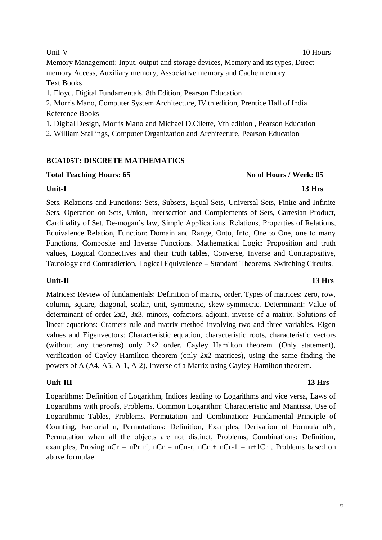Memory Management: Input, output and storage devices, Memory and its types, Direct memory Access, Auxiliary memory, Associative memory and Cache memory Text Books

1. Floyd, Digital Fundamentals, 8th Edition, Pearson Education

2. Morris Mano, Computer System Architecture, IV th edition, Prentice Hall of India Reference Books

1. Digital Design, Morris Mano and Michael D.Cilette, Vth edition , Pearson Education

2. William Stallings, Computer Organization and Architecture, Pearson Education

### **BCA105T: DISCRETE MATHEMATICS**

### **Total Teaching Hours: 65 No of Hours / Week: 05**

### **Unit-I 13 Hrs**

Sets, Relations and Functions: Sets, Subsets, Equal Sets, Universal Sets, Finite and Infinite Sets, Operation on Sets, Union, Intersection and Complements of Sets, Cartesian Product, Cardinality of Set, De-mogan's law, Simple Applications. Relations, Properties of Relations, Equivalence Relation, Function: Domain and Range, Onto, Into, One to One, one to many Functions, Composite and Inverse Functions. Mathematical Logic: Proposition and truth values, Logical Connectives and their truth tables, Converse, Inverse and Contrapositive, Tautology and Contradiction, Logical Equivalence – Standard Theorems, Switching Circuits.

## **Unit-II 13 Hrs**

Matrices: Review of fundamentals: Definition of matrix, order, Types of matrices: zero, row, column, square, diagonal, scalar, unit, symmetric, skew-symmetric. Determinant: Value of determinant of order 2x2, 3x3, minors, cofactors, adjoint, inverse of a matrix. Solutions of linear equations: Cramers rule and matrix method involving two and three variables. Eigen values and Eigenvectors: Characteristic equation, characteristic roots, characteristic vectors (without any theorems) only 2x2 order. Cayley Hamilton theorem. (Only statement), verification of Cayley Hamilton theorem (only 2x2 matrices), using the same finding the powers of A (A4, A5, A-1, A-2), Inverse of a Matrix using Cayley-Hamilton theorem.

## **Unit-III 13 Hrs**

Logarithms: Definition of Logarithm, Indices leading to Logarithms and vice versa, Laws of Logarithms with proofs, Problems, Common Logarithm: Characteristic and Mantissa, Use of Logarithmic Tables, Problems. Permutation and Combination: Fundamental Principle of Counting, Factorial n, Permutations: Definition, Examples, Derivation of Formula nPr, Permutation when all the objects are not distinct, Problems, Combinations: Definition, examples, Proving  $nCr = nPr$  r!,  $nCr = nCn-r$ ,  $nCr + nCr-1 = n+1Cr$ , Problems based on above formulae.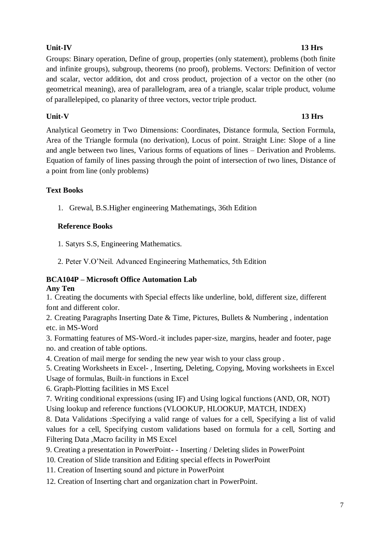## 7

Groups: Binary operation, Define of group, properties (only statement), problems (both finite and infinite groups), subgroup, theorems (no proof), problems. Vectors: Definition of vector and scalar, vector addition, dot and cross product, projection of a vector on the other (no geometrical meaning), area of parallelogram, area of a triangle, scalar triple product, volume of parallelepiped, co planarity of three vectors, vector triple product.

## **Unit-V 13 Hrs**

Analytical Geometry in Two Dimensions: Coordinates, Distance formula, Section Formula, Area of the Triangle formula (no derivation), Locus of point. Straight Line: Slope of a line and angle between two lines, Various forms of equations of lines – Derivation and Problems. Equation of family of lines passing through the point of intersection of two lines, Distance of a point from line (only problems)

# **Text Books**

1. Grewal, B.S.Higher engineering Mathematings, 36th Edition

# **Reference Books**

1. Satyrs S.S, Engineering Mathematics.

2. Peter V.O'Neil. Advanced Engineering Mathematics, 5th Edition

### **BCA104P – Microsoft Office Automation Lab Any Ten**

1. Creating the documents with Special effects like underline, bold, different size, different font and different color.

2. Creating Paragraphs Inserting Date & Time, Pictures, Bullets & Numbering , indentation etc. in MS-Word

3. Formatting features of MS-Word.-it includes paper-size, margins, header and footer, page no. and creation of table options.

4. Creation of mail merge for sending the new year wish to your class group .

5. Creating Worksheets in Excel- , Inserting, Deleting, Copying, Moving worksheets in Excel Usage of formulas, Built-in functions in Excel

6. Graph-Plotting facilities in MS Excel

7. Writing conditional expressions (using IF) and Using logical functions (AND, OR, NOT) Using lookup and reference functions (VLOOKUP, HLOOKUP, MATCH, INDEX)

8. Data Validations :Specifying a valid range of values for a cell, Specifying a list of valid values for a cell, Specifying custom validations based on formula for a cell, Sorting and Filtering Data ,Macro facility in MS Excel

9. Creating a presentation in PowerPoint- - Inserting / Deleting slides in PowerPoint

10. Creation of Slide transition and Editing special effects in PowerPoint

11. Creation of Inserting sound and picture in PowerPoint

12. Creation of Inserting chart and organization chart in PowerPoint.

## **Unit-IV 13 Hrs**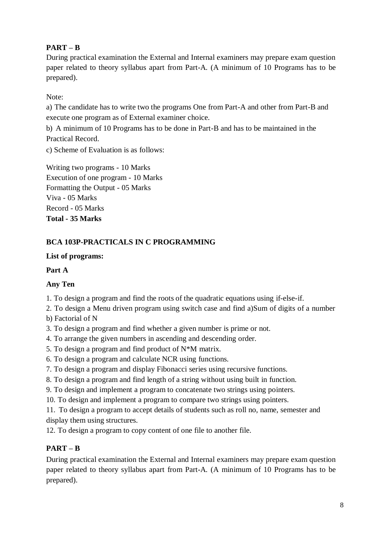# **PART – B**

During practical examination the External and Internal examiners may prepare exam question paper related to theory syllabus apart from Part-A. (A minimum of 10 Programs has to be prepared).

Note:

a) The candidate has to write two the programs One from Part-A and other from Part-B and execute one program as of External examiner choice.

b) A minimum of 10 Programs has to be done in Part-B and has to be maintained in the Practical Record.

c) Scheme of Evaluation is as follows:

Writing two programs - 10 Marks Execution of one program - 10 Marks Formatting the Output - 05 Marks Viva - 05 Marks Record - 05 Marks **Total - 35 Marks**

## **BCA 103P-PRACTICALS IN C PROGRAMMING**

## **List of programs:**

## **Part A**

## **Any Ten**

1. To design a program and find the roots of the quadratic equations using if-else-if.

2. To design a Menu driven program using switch case and find a)Sum of digits of a number

b) Factorial of N

3. To design a program and find whether a given number is prime or not.

- 4. To arrange the given numbers in ascending and descending order.
- 5. To design a program and find product of  $N^*M$  matrix.
- 6. To design a program and calculate NCR using functions.
- 7. To design a program and display Fibonacci series using recursive functions.
- 8. To design a program and find length of a string without using built in function.
- 9. To design and implement a program to concatenate two strings using pointers.
- 10. To design and implement a program to compare two strings using pointers.

11. To design a program to accept details of students such as roll no, name, semester and display them using structures.

12. To design a program to copy content of one file to another file.

## **PART – B**

During practical examination the External and Internal examiners may prepare exam question paper related to theory syllabus apart from Part-A. (A minimum of 10 Programs has to be prepared).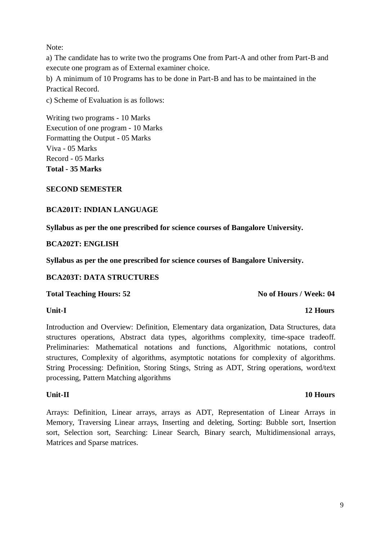Note:

a) The candidate has to write two the programs One from Part-A and other from Part-B and execute one program as of External examiner choice.

b) A minimum of 10 Programs has to be done in Part-B and has to be maintained in the Practical Record.

c) Scheme of Evaluation is as follows:

Writing two programs - 10 Marks Execution of one program - 10 Marks Formatting the Output - 05 Marks Viva - 05 Marks Record - 05 Marks **Total - 35 Marks** 

### **SECOND SEMESTER**

### **BCA201T: INDIAN LANGUAGE**

**Syllabus as per the one prescribed for science courses of Bangalore University.** 

### **BCA202T: ENGLISH**

**Syllabus as per the one prescribed for science courses of Bangalore University.** 

### **BCA203T: DATA STRUCTURES**

### **Total Teaching Hours: 52 No of Hours / Week: 04 No of Hours / Week: 04**

### **Unit-I 12 Hours**

Introduction and Overview: Definition, Elementary data organization, Data Structures, data structures operations, Abstract data types, algorithms complexity, time-space tradeoff. Preliminaries: Mathematical notations and functions, Algorithmic notations, control structures, Complexity of algorithms, asymptotic notations for complexity of algorithms. String Processing: Definition, Storing Stings, String as ADT, String operations, word/text processing, Pattern Matching algorithms

### **Unit-II 10 Hours**

Arrays: Definition, Linear arrays, arrays as ADT, Representation of Linear Arrays in Memory, Traversing Linear arrays, Inserting and deleting, Sorting: Bubble sort, Insertion sort, Selection sort, Searching: Linear Search, Binary search, Multidimensional arrays, Matrices and Sparse matrices.

### 9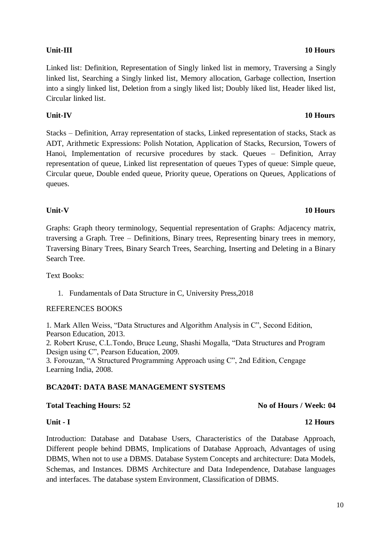Linked list: Definition, Representation of Singly linked list in memory, Traversing a Singly linked list, Searching a Singly linked list, Memory allocation, Garbage collection, Insertion into a singly linked list, Deletion from a singly liked list; Doubly liked list, Header liked list, Circular linked list.

### **Unit-IV 10 Hours**

Stacks – Definition, Array representation of stacks, Linked representation of stacks, Stack as ADT, Arithmetic Expressions: Polish Notation, Application of Stacks, Recursion, Towers of Hanoi, Implementation of recursive procedures by stack. Queues – Definition, Array representation of queue, Linked list representation of queues Types of queue: Simple queue, Circular queue, Double ended queue, Priority queue, Operations on Queues, Applications of queues.

Graphs: Graph theory terminology, Sequential representation of Graphs: Adjacency matrix, traversing a Graph. Tree – Definitions, Binary trees, Representing binary trees in memory, Traversing Binary Trees, Binary Search Trees, Searching, Inserting and Deleting in a Binary Search Tree.

Text Books:

1. Fundamentals of Data Structure in C, University Press,2018

### REFERENCES BOOKS

1. Mark Allen Weiss, "Data Structures and Algorithm Analysis in C", Second Edition, Pearson Education, 2013. 2. Robert Kruse, C.L.Tondo, Bruce Leung, Shashi Mogalla, "Data Structures and Program Design using C", Pearson Education, 2009. 3. Forouzan, "A Structured Programming Approach using C", 2nd Edition, Cengage Learning India, 2008.

## **BCA204T: DATA BASE MANAGEMENT SYSTEMS**

## Total Teaching Hours: 52 **No of Hours / Week: 04 No of Hours / Week: 04**

### **Unit - I 12 Hours**

Introduction: Database and Database Users, Characteristics of the Database Approach, Different people behind DBMS, Implications of Database Approach, Advantages of using DBMS, When not to use a DBMS. Database System Concepts and architecture: Data Models, Schemas, and Instances. DBMS Architecture and Data Independence, Database languages and interfaces. The database system Environment, Classification of DBMS.

### **Unit-V 10 Hours**

### **Unit-III 10 Hours**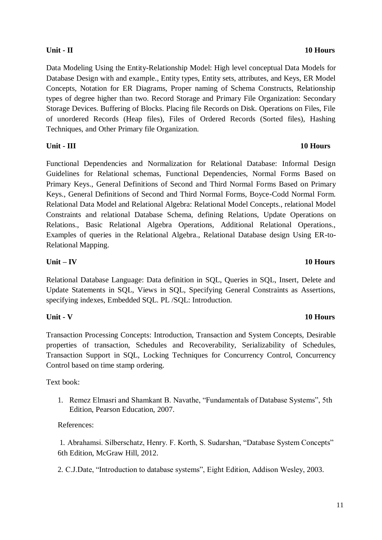Data Modeling Using the Entity-Relationship Model: High level conceptual Data Models for Database Design with and example., Entity types, Entity sets, attributes, and Keys, ER Model Concepts, Notation for ER Diagrams, Proper naming of Schema Constructs, Relationship types of degree higher than two. Record Storage and Primary File Organization: Secondary Storage Devices. Buffering of Blocks. Placing file Records on Disk. Operations on Files, File of unordered Records (Heap files), Files of Ordered Records (Sorted files), Hashing Techniques, and Other Primary file Organization.

### **Unit - III 10 Hours**

Functional Dependencies and Normalization for Relational Database: Informal Design Guidelines for Relational schemas, Functional Dependencies, Normal Forms Based on Primary Keys., General Definitions of Second and Third Normal Forms Based on Primary Keys., General Definitions of Second and Third Normal Forms, Boyce-Codd Normal Form. Relational Data Model and Relational Algebra: Relational Model Concepts., relational Model Constraints and relational Database Schema, defining Relations, Update Operations on Relations., Basic Relational Algebra Operations, Additional Relational Operations., Examples of queries in the Relational Algebra., Relational Database design Using ER-to-Relational Mapping.

## **Unit – IV 10 Hours**

Relational Database Language: Data definition in SQL, Queries in SQL, Insert, Delete and Update Statements in SQL, Views in SQL, Specifying General Constraints as Assertions, specifying indexes, Embedded SQL. PL /SQL: Introduction.

# **Unit - V 10 Hours**

Transaction Processing Concepts: Introduction, Transaction and System Concepts, Desirable properties of transaction, Schedules and Recoverability, Serializability of Schedules, Transaction Support in SQL, Locking Techniques for Concurrency Control, Concurrency Control based on time stamp ordering.

## Text book:

1. Remez Elmasri and Shamkant B. Navathe, "Fundamentals of Database Systems", 5th Edition, Pearson Education, 2007.

# References:

1. Abrahamsi. Silberschatz, Henry. F. Korth, S. Sudarshan, "Database System Concepts" 6th Edition, McGraw Hill, 2012.

2. C.J.Date, "Introduction to database systems", Eight Edition, Addison Wesley, 2003.

# **Unit - II 10 Hours**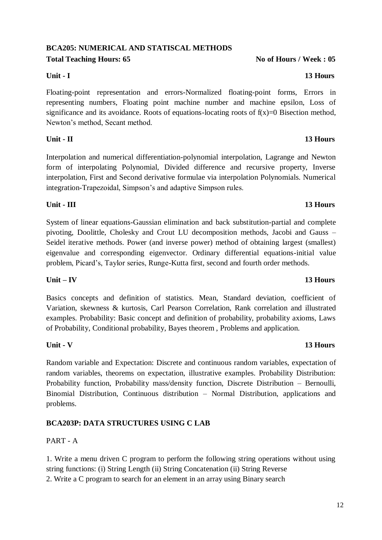# **BCA205: NUMERICAL AND STATISCAL METHODS**

**Total Teaching Hours: 65 No of Hours / Week : 05 No of Hours / Week : 05** 

### **Unit - I 13 Hours**

Floating-point representation and errors-Normalized floating-point forms, Errors in representing numbers, Floating point machine number and machine epsilon, Loss of significance and its avoidance. Roots of equations-locating roots of  $f(x)=0$  Bisection method, Newton's method, Secant method.

## **Unit - II 13 Hours**

Interpolation and numerical differentiation-polynomial interpolation, Lagrange and Newton form of interpolating Polynomial, Divided difference and recursive property, Inverse interpolation, First and Second derivative formulae via interpolation Polynomials. Numerical integration-Trapezoidal, Simpson's and adaptive Simpson rules.

System of linear equations-Gaussian elimination and back substitution-partial and complete pivoting, Doolittle, Cholesky and Crout LU decomposition methods, Jacobi and Gauss – Seidel iterative methods. Power (and inverse power) method of obtaining largest (smallest) eigenvalue and corresponding eigenvector. Ordinary differential equations-initial value problem, Picard's, Taylor series, Runge-Kutta first, second and fourth order methods.

**Unit - III 13 Hours**

### **Unit – IV 13 Hours**

Basics concepts and definition of statistics. Mean, Standard deviation, coefficient of Variation, skewness & kurtosis, Carl Pearson Correlation, Rank correlation and illustrated examples. Probability: Basic concept and definition of probability, probability axioms, Laws of Probability, Conditional probability, Bayes theorem , Problems and application.

Random variable and Expectation: Discrete and continuous random variables, expectation of random variables, theorems on expectation, illustrative examples. Probability Distribution: Probability function, Probability mass/density function, Discrete Distribution – Bernoulli, Binomial Distribution, Continuous distribution – Normal Distribution, applications and problems.

### **BCA203P: DATA STRUCTURES USING C LAB**

### PART - A

1. Write a menu driven C program to perform the following string operations without using string functions: (i) String Length (ii) String Concatenation (ii) String Reverse

2. Write a C program to search for an element in an array using Binary search

### **Unit - V 13 Hours**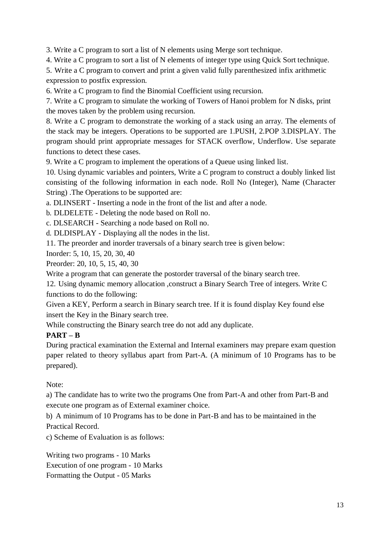3. Write a C program to sort a list of N elements using Merge sort technique.

4. Write a C program to sort a list of N elements of integer type using Quick Sort technique.

5. Write a C program to convert and print a given valid fully parenthesized infix arithmetic expression to postfix expression.

6. Write a C program to find the Binomial Coefficient using recursion.

7. Write a C program to simulate the working of Towers of Hanoi problem for N disks, print the moves taken by the problem using recursion.

8. Write a C program to demonstrate the working of a stack using an array. The elements of the stack may be integers. Operations to be supported are 1.PUSH, 2.POP 3.DISPLAY. The program should print appropriate messages for STACK overflow, Underflow. Use separate functions to detect these cases.

9. Write a C program to implement the operations of a Queue using linked list.

10. Using dynamic variables and pointers, Write a C program to construct a doubly linked list consisting of the following information in each node. Roll No (Integer), Name (Character String) .The Operations to be supported are:

a. DLINSERT - Inserting a node in the front of the list and after a node.

b. DLDELETE - Deleting the node based on Roll no.

c. DLSEARCH - Searching a node based on Roll no.

d. DLDISPLAY - Displaying all the nodes in the list.

11. The preorder and inorder traversals of a binary search tree is given below:

Inorder: 5, 10, 15, 20, 30, 40

Preorder: 20, 10, 5, 15, 40, 30

Write a program that can generate the postorder traversal of the binary search tree.

12. Using dynamic memory allocation ,construct a Binary Search Tree of integers. Write C functions to do the following:

Given a KEY, Perform a search in Binary search tree. If it is found display Key found else insert the Key in the Binary search tree.

While constructing the Binary search tree do not add any duplicate.

## **PART – B**

During practical examination the External and Internal examiners may prepare exam question paper related to theory syllabus apart from Part-A. (A minimum of 10 Programs has to be prepared).

Note:

a) The candidate has to write two the programs One from Part-A and other from Part-B and execute one program as of External examiner choice.

b) A minimum of 10 Programs has to be done in Part-B and has to be maintained in the Practical Record.

c) Scheme of Evaluation is as follows:

Writing two programs - 10 Marks Execution of one program - 10 Marks Formatting the Output - 05 Marks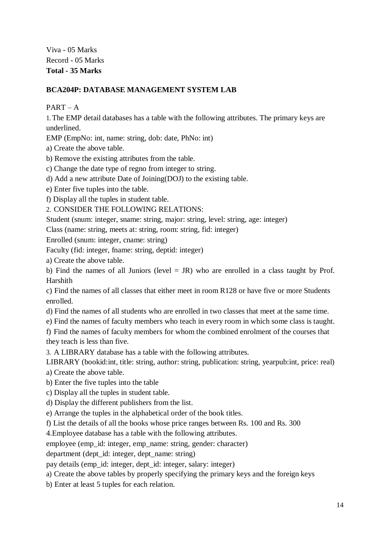Viva - 05 Marks Record - 05 Marks **Total - 35 Marks**

### **BCA204P: DATABASE MANAGEMENT SYSTEM LAB**

 $PART - A$ 

1.The EMP detail databases has a table with the following attributes. The primary keys are underlined.

EMP (EmpNo: int, name: string, dob: date, PhNo: int)

a) Create the above table.

b) Remove the existing attributes from the table.

c) Change the date type of regno from integer to string.

d) Add a new attribute Date of Joining(DOJ) to the existing table.

e) Enter five tuples into the table.

f) Display all the tuples in student table.

2. CONSIDER THE FOLLOWING RELATIONS:

Student (snum: integer, sname: string, major: string, level: string, age: integer)

Class (name: string, meets at: string, room: string, fid: integer)

Enrolled (snum: integer, cname: string)

Faculty (fid: integer, fname: string, deptid: integer)

a) Create the above table.

b) Find the names of all Juniors (level  $=$  JR) who are enrolled in a class taught by Prof. Harshith

c) Find the names of all classes that either meet in room R128 or have five or more Students enrolled.

d) Find the names of all students who are enrolled in two classes that meet at the same time.

e) Find the names of faculty members who teach in every room in which some class is taught.

f) Find the names of faculty members for whom the combined enrolment of the courses that they teach is less than five.

3. A LIBRARY database has a table with the following attributes.

LIBRARY (bookid:int, title: string, author: string, publication: string, yearpub:int, price: real)

a) Create the above table.

b) Enter the five tuples into the table

c) Display all the tuples in student table.

d) Display the different publishers from the list.

e) Arrange the tuples in the alphabetical order of the book titles.

f) List the details of all the books whose price ranges between Rs. 100 and Rs. 300

4.Employee database has a table with the following attributes.

employee (emp\_id: integer, emp\_name: string, gender: character)

department (dept id: integer, dept name: string)

pay details (emp\_id: integer, dept\_id: integer, salary: integer)

a) Create the above tables by properly specifying the primary keys and the foreign keys

b) Enter at least 5 tuples for each relation.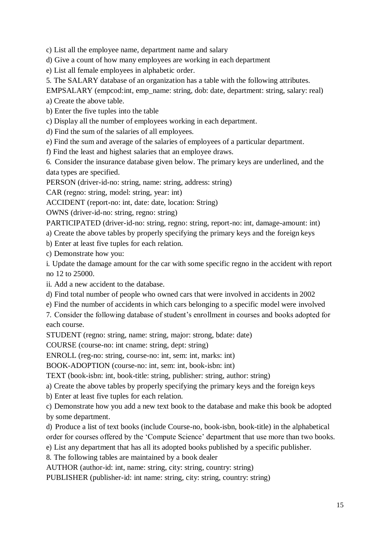c) List all the employee name, department name and salary

d) Give a count of how many employees are working in each department

e) List all female employees in alphabetic order.

5. The SALARY database of an organization has a table with the following attributes.

EMPSALARY (empcod:int, emp\_name: string, dob: date, department: string, salary: real)

a) Create the above table.

b) Enter the five tuples into the table

c) Display all the number of employees working in each department.

d) Find the sum of the salaries of all employees.

e) Find the sum and average of the salaries of employees of a particular department.

f) Find the least and highest salaries that an employee draws.

6. Consider the insurance database given below. The primary keys are underlined, and the data types are specified.

PERSON (driver-id-no: string, name: string, address: string)

CAR (regno: string, model: string, year: int)

ACCIDENT (report-no: int, date: date, location: String)

OWNS (driver-id-no: string, regno: string)

PARTICIPATED (driver-id-no: string, regno: string, report-no: int, damage-amount: int)

a) Create the above tables by properly specifying the primary keys and the foreign keys

b) Enter at least five tuples for each relation.

c) Demonstrate how you:

i. Update the damage amount for the car with some specific regno in the accident with report no 12 to 25000.

ii. Add a new accident to the database.

d) Find total number of people who owned cars that were involved in accidents in 2002

e) Find the number of accidents in which cars belonging to a specific model were involved

7. Consider the following database of student's enrollment in courses and books adopted for each course.

STUDENT (regno: string, name: string, major: strong, bdate: date)

COURSE (course-no: int cname: string, dept: string)

ENROLL (reg-no: string, course-no: int, sem: int, marks: int)

BOOK-ADOPTION (course-no: int, sem: int, book-isbn: int)

TEXT (book-isbn: int, book-title: string, publisher: string, author: string)

a) Create the above tables by properly specifying the primary keys and the foreign keys

b) Enter at least five tuples for each relation.

c) Demonstrate how you add a new text book to the database and make this book be adopted by some department.

d) Produce a list of text books (include Course-no, book-isbn, book-title) in the alphabetical order for courses offered by the 'Compute Science' department that use more than two books.

e) List any department that has all its adopted books published by a specific publisher.

8. The following tables are maintained by a book dealer

AUTHOR (author-id: int, name: string, city: string, country: string)

PUBLISHER (publisher-id: int name: string, city: string, country: string)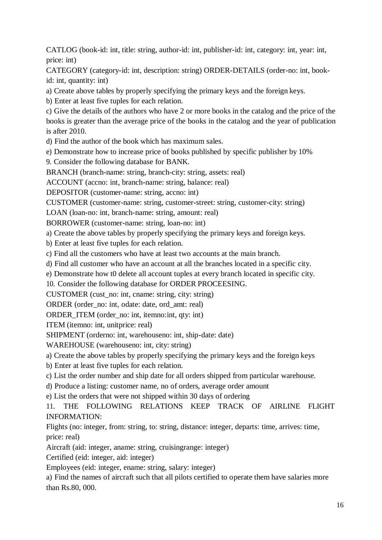CATLOG (book-id: int, title: string, author-id: int, publisher-id: int, category: int, year: int, price: int)

CATEGORY (category-id: int, description: string) ORDER-DETAILS (order-no: int, bookid: int, quantity: int)

a) Create above tables by properly specifying the primary keys and the foreign keys.

b) Enter at least five tuples for each relation.

c) Give the details of the authors who have 2 or more books in the catalog and the price of the books is greater than the average price of the books in the catalog and the year of publication is after 2010.

d) Find the author of the book which has maximum sales.

e) Demonstrate how to increase price of books published by specific publisher by 10%

9. Consider the following database for BANK.

BRANCH (branch-name: string, branch-city: string, assets: real)

ACCOUNT (accno: int, branch-name: string, balance: real)

DEPOSITOR (customer-name: string, accno: int)

CUSTOMER (customer-name: string, customer-street: string, customer-city: string)

LOAN (loan-no: int, branch-name: string, amount: real)

BORROWER (customer-name: string, loan-no: int)

a) Create the above tables by properly specifying the primary keys and foreign keys.

b) Enter at least five tuples for each relation.

c) Find all the customers who have at least two accounts at the main branch.

d) Find all customer who have an account at all the branches located in a specific city.

e) Demonstrate how t0 delete all account tuples at every branch located in specific city.

10. Consider the following database for ORDER PROCEESING.

CUSTOMER (cust\_no: int, cname: string, city: string)

ORDER (order\_no: int, odate: date, ord\_amt: real)

ORDER\_ITEM (order\_no: int, itemno:int, qty: int)

ITEM (itemno: int, unitprice: real)

SHIPMENT (orderno: int, warehouseno: int, ship-date: date)

WAREHOUSE (warehouseno: int, city: string)

a) Create the above tables by properly specifying the primary keys and the foreign keys

b) Enter at least five tuples for each relation.

c) List the order number and ship date for all orders shipped from particular warehouse.

d) Produce a listing: customer name, no of orders, average order amount

e) List the orders that were not shipped within 30 days of ordering

11. THE FOLLOWING RELATIONS KEEP TRACK OF AIRLINE FLIGHT INFORMATION:

Flights (no: integer, from: string, to: string, distance: integer, departs: time, arrives: time, price: real)

Aircraft (aid: integer, aname: string, cruisingrange: integer)

Certified (eid: integer, aid: integer)

Employees (eid: integer, ename: string, salary: integer)

a) Find the names of aircraft such that all pilots certified to operate them have salaries more than Rs.80, 000.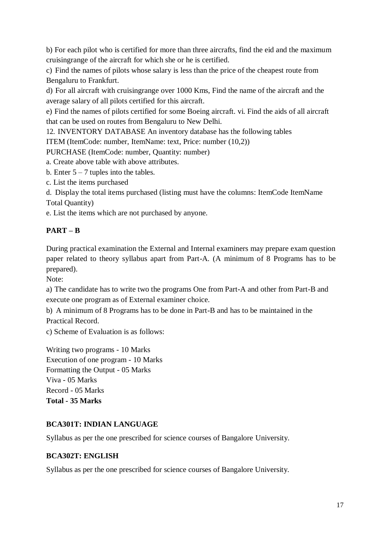b) For each pilot who is certified for more than three aircrafts, find the eid and the maximum cruisingrange of the aircraft for which she or he is certified.

c) Find the names of pilots whose salary is less than the price of the cheapest route from Bengaluru to Frankfurt.

d) For all aircraft with cruisingrange over 1000 Kms, Find the name of the aircraft and the average salary of all pilots certified for this aircraft.

e) Find the names of pilots certified for some Boeing aircraft. vi. Find the aids of all aircraft that can be used on routes from Bengaluru to New Delhi.

12. INVENTORY DATABASE An inventory database has the following tables

ITEM (ItemCode: number, ItemName: text, Price: number (10,2))

PURCHASE (ItemCode: number, Quantity: number)

a. Create above table with above attributes.

b. Enter  $5 - 7$  tuples into the tables.

c. List the items purchased

d. Display the total items purchased (listing must have the columns: ItemCode ItemName Total Quantity)

e. List the items which are not purchased by anyone.

# **PART – B**

During practical examination the External and Internal examiners may prepare exam question paper related to theory syllabus apart from Part-A. (A minimum of 8 Programs has to be prepared).

Note:

a) The candidate has to write two the programs One from Part-A and other from Part-B and execute one program as of External examiner choice.

b) A minimum of 8 Programs has to be done in Part-B and has to be maintained in the Practical Record.

c) Scheme of Evaluation is as follows:

Writing two programs - 10 Marks Execution of one program - 10 Marks Formatting the Output - 05 Marks Viva - 05 Marks Record - 05 Marks **Total - 35 Marks**

## **BCA301T: INDIAN LANGUAGE**

Syllabus as per the one prescribed for science courses of Bangalore University.

### **BCA302T: ENGLISH**

Syllabus as per the one prescribed for science courses of Bangalore University.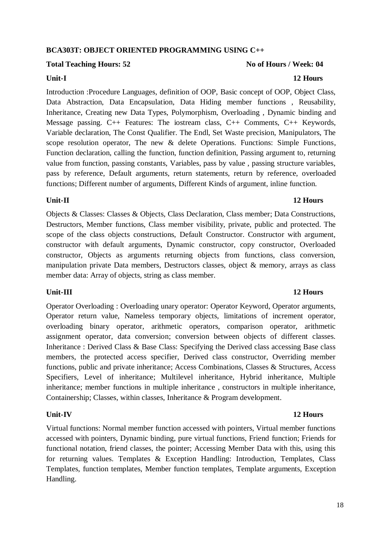18

## **BCA303T: OBJECT ORIENTED PROGRAMMING USING C++**

## Total Teaching Hours: 52 **No of Hours / Week: 04 No of Hours / Week: 04**

Introduction :Procedure Languages, definition of OOP, Basic concept of OOP, Object Class, Data Abstraction, Data Encapsulation, Data Hiding member functions , Reusability, Inheritance, Creating new Data Types, Polymorphism, Overloading , Dynamic binding and Message passing. C++ Features: The iostream class, C++ Comments, C++ Keywords, Variable declaration, The Const Qualifier. The Endl, Set Waste precision, Manipulators, The scope resolution operator, The new & delete Operations. Functions: Simple Functions, Function declaration, calling the function, function definition, Passing argument to, returning value from function, passing constants, Variables, pass by value , passing structure variables, pass by reference, Default arguments, return statements, return by reference, overloaded functions; Different number of arguments, Different Kinds of argument, inline function.

### **Unit-II 12 Hours**

Objects & Classes: Classes & Objects, Class Declaration, Class member; Data Constructions, Destructors, Member functions, Class member visibility, private, public and protected. The scope of the class objects constructions, Default Constructor. Constructor with argument, constructor with default arguments, Dynamic constructor, copy constructor, Overloaded constructor, Objects as arguments returning objects from functions, class conversion, manipulation private Data members, Destructors classes, object & memory, arrays as class member data: Array of objects, string as class member.

## **Unit-III 12 Hours**

Operator Overloading : Overloading unary operator: Operator Keyword, Operator arguments, Operator return value, Nameless temporary objects, limitations of increment operator, overloading binary operator, arithmetic operators, comparison operator, arithmetic assignment operator, data conversion; conversion between objects of different classes. Inheritance : Derived Class & Base Class: Specifying the Derived class accessing Base class members, the protected access specifier, Derived class constructor, Overriding member functions, public and private inheritance; Access Combinations, Classes & Structures, Access Specifiers, Level of inheritance; Multilevel inheritance, Hybrid inheritance, Multiple inheritance; member functions in multiple inheritance , constructors in multiple inheritance, Containership; Classes, within classes, Inheritance & Program development.

Virtual functions: Normal member function accessed with pointers, Virtual member functions accessed with pointers, Dynamic binding, pure virtual functions, Friend function; Friends for functional notation, friend classes, the pointer; Accessing Member Data with this, using this for returning values. Templates & Exception Handling: Introduction, Templates, Class Templates, function templates, Member function templates, Template arguments, Exception Handling.

### **Unit-I 12 Hours**

## **Unit-IV 12 Hours**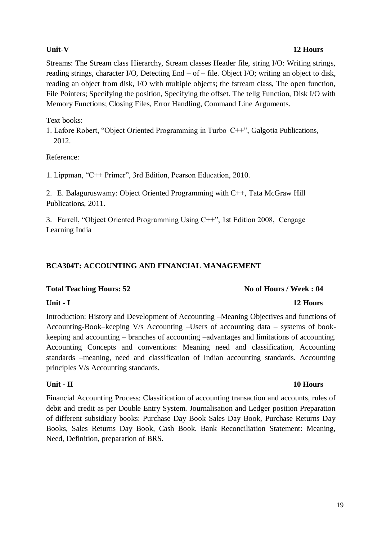### **Unit-V 12 Hours**

Streams: The Stream class Hierarchy, Stream classes Header file, string I/O: Writing strings, reading strings, character I/O, Detecting End – of – file. Object I/O; writing an object to disk, reading an object from disk, I/O with multiple objects; the fstream class, The open function, File Pointers; Specifying the position, Specifying the offset. The tellg Function, Disk I/O with Memory Functions; Closing Files, Error Handling, Command Line Arguments.

Text books:

1. Lafore Robert, "Object Oriented Programming in Turbo C++", Galgotia Publications, 2012.

Reference:

1. Lippman, "C++ Primer", 3rd Edition, Pearson Education, 2010.

2. E. Balaguruswamy: Object Oriented Programming with C++, Tata McGraw Hill Publications, 2011.

3. Farrell, "Object Oriented Programming Using C++", 1st Edition 2008, Cengage Learning India

### **BCA304T: ACCOUNTING AND FINANCIAL MANAGEMENT**

### Total Teaching Hours: 52 **No of Hours / Week : 04 No of Hours / Week : 04**

### **Unit - I 12 Hours**

Introduction: History and Development of Accounting –Meaning Objectives and functions of Accounting-Book–keeping V/s Accounting –Users of accounting data – systems of bookkeeping and accounting – branches of accounting –advantages and limitations of accounting. Accounting Concepts and conventions: Meaning need and classification, Accounting standards –meaning, need and classification of Indian accounting standards. Accounting principles V/s Accounting standards.

### **Unit - II 10 Hours**

Financial Accounting Process: Classification of accounting transaction and accounts, rules of debit and credit as per Double Entry System. Journalisation and Ledger position Preparation of different subsidiary books: Purchase Day Book Sales Day Book, Purchase Returns Day Books, Sales Returns Day Book, Cash Book. Bank Reconciliation Statement: Meaning, Need, Definition, preparation of BRS.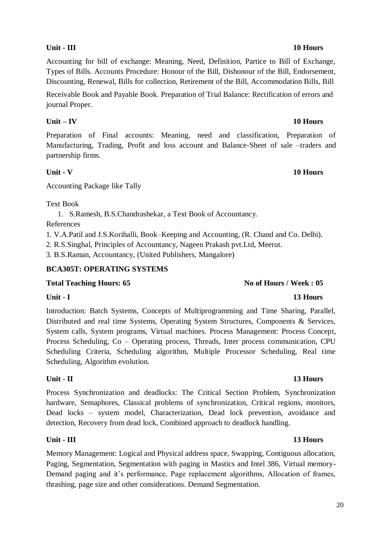# **Unit - III 10 Hours**

Accounting for bill of exchange: Meaning, Need, Definition, Partice to Bill of Exchange, Types of Bills. Accounts Procedure: Honour of the Bill, Dishonour of the Bill, Endorsement, Discounting, Renewal, Bills for collection, Retirement of the Bill, Accommodation Bills, Bill

Receivable Book and Payable Book. Preparation of Trial Balance: Rectification of errors and journal Proper.

# **Unit – IV 10 Hours**

Preparation of Final accounts: Meaning, need and classification, Preparation of Manufacturing, Trading, Profit and loss account and Balance-Sheet of sale –traders and partnership firms.

# **Unit - V 10 Hours**

Accounting Package like Tally

Text Book

1. S.Ramesh, B.S.Chandrashekar, a Text Book of Accountancy.

References

1. V.A.Patil and J.S.Korihalli, Book–Keeping and Accounting, (R. Chand and Co. Delhi).

2. R.S.Singhal, Principles of Accountancy, Nageen Prakash pvt.Ltd, Meerut.

3. B.S.Raman, Accountancy, (United Publishers, Mangalore)

# **BCA305T: OPERATING SYSTEMS**

# **Total Teaching Hours: 65 No of Hours / Week : 05**

Scheduling, Algorithm evolution.

**Unit - I 13 Hours** Introduction: Batch Systems, Concepts of Multiprogramming and Time Sharing, Parallel, Distributed and real time Systems, Operating System Structures, Components & Services, System calls, System programs, Virtual machines. Process Management: Process Concept, Process Scheduling, Co – Operating process, Threads, Inter process communication, CPU Scheduling Criteria, Scheduling algorithm, Multiple Processor Scheduling, Real time

# **Unit - II 13 Hours**

Process Synchronization and deadlocks: The Critical Section Problem, Synchronization hardware, Semaphores, Classical problems of synchronization, Critical regions, monitors, Dead locks – system model, Characterization, Dead lock prevention, avoidance and detection, Recovery from dead lock, Combined approach to deadlock handling.

# **Unit - III 13 Hours**

Memory Management: Logical and Physical address space, Swapping, Contiguous allocation, Paging, Segmentation, Segmentation with paging in Mastics and Intel 386, Virtual memory-Demand paging and it's performance, Page replacement algorithms, Allocation of frames, thrashing, page size and other considerations. Demand Segmentation.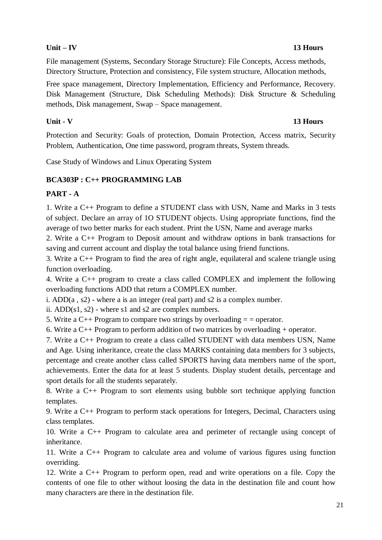### **Unit – IV 13 Hours**

File management (Systems, Secondary Storage Structure): File Concepts, Access methods, Directory Structure, Protection and consistency, File system structure, Allocation methods,

Free space management, Directory Implementation, Efficiency and Performance, Recovery. Disk Management (Structure, Disk Scheduling Methods): Disk Structure & Scheduling methods, Disk management, Swap – Space management.

### **Unit - V 13 Hours**

Protection and Security: Goals of protection, Domain Protection, Access matrix, Security Problem, Authentication, One time password, program threats, System threads.

Case Study of Windows and Linux Operating System

## **BCA303P : C++ PROGRAMMING LAB**

### **PART - A**

1. Write a C++ Program to define a STUDENT class with USN, Name and Marks in 3 tests of subject. Declare an array of 1O STUDENT objects. Using appropriate functions, find the average of two better marks for each student. Print the USN, Name and average marks

2. Write a C++ Program to Deposit amount and withdraw options in bank transactions for saving and current account and display the total balance using friend functions.

3. Write a C++ Program to find the area of right angle, equilateral and scalene triangle using function overloading.

4. Write a C++ program to create a class called COMPLEX and implement the following overloading functions ADD that return a COMPLEX number.

i. ADD(a , s2) - where a is an integer (real part) and s2 is a complex number.

ii.  $ADD(s1, s2)$  - where s1 and s2 are complex numbers.

5. Write a  $C_{++}$  Program to compare two strings by overloading  $=$  = operator.

6. Write a C++ Program to perform addition of two matrices by overloading + operator.

7. Write a C++ Program to create a class called STUDENT with data members USN, Name and Age. Using inheritance, create the class MARKS containing data members for 3 subjects, percentage and create another class called SPORTS having data members name of the sport, achievements. Enter the data for at least 5 students. Display student details, percentage and sport details for all the students separately.

8. Write a C++ Program to sort elements using bubble sort technique applying function templates.

9. Write a C++ Program to perform stack operations for Integers, Decimal, Characters using class templates.

10. Write a C++ Program to calculate area and perimeter of rectangle using concept of inheritance.

11. Write a C++ Program to calculate area and volume of various figures using function overriding.

12. Write a C++ Program to perform open, read and write operations on a file. Copy the contents of one file to other without loosing the data in the destination file and count how many characters are there in the destination file.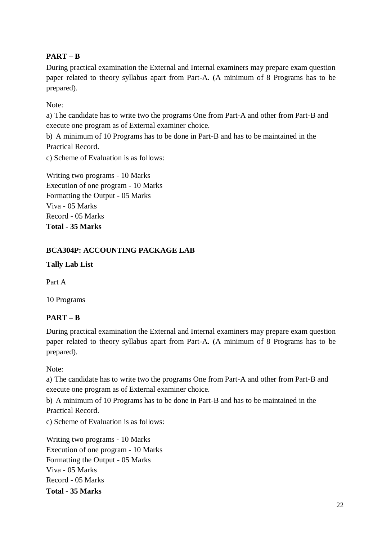# **PART – B**

During practical examination the External and Internal examiners may prepare exam question paper related to theory syllabus apart from Part-A. (A minimum of 8 Programs has to be prepared).

Note:

a) The candidate has to write two the programs One from Part-A and other from Part-B and execute one program as of External examiner choice.

b) A minimum of 10 Programs has to be done in Part-B and has to be maintained in the Practical Record.

c) Scheme of Evaluation is as follows:

Writing two programs - 10 Marks Execution of one program - 10 Marks Formatting the Output - 05 Marks Viva - 05 Marks Record - 05 Marks **Total - 35 Marks**

## **BCA304P: ACCOUNTING PACKAGE LAB**

**Tally Lab List**

Part A

10 Programs

## **PART – B**

During practical examination the External and Internal examiners may prepare exam question paper related to theory syllabus apart from Part-A. (A minimum of 8 Programs has to be prepared).

Note:

a) The candidate has to write two the programs One from Part-A and other from Part-B and execute one program as of External examiner choice.

b) A minimum of 10 Programs has to be done in Part-B and has to be maintained in the Practical Record.

c) Scheme of Evaluation is as follows:

Writing two programs - 10 Marks Execution of one program - 10 Marks Formatting the Output - 05 Marks Viva - 05 Marks Record - 05 Marks **Total - 35 Marks**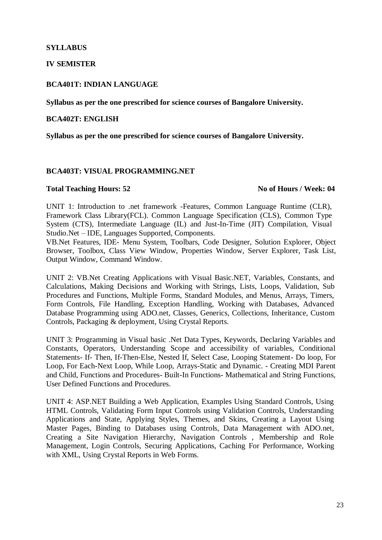### **SYLLABUS**

### **IV SEMISTER**

### **BCA401T: INDIAN LANGUAGE**

**Syllabus as per the one prescribed for science courses of Bangalore University.** 

### **BCA402T: ENGLISH**

**Syllabus as per the one prescribed for science courses of Bangalore University.**

### **BCA403T: VISUAL PROGRAMMING.NET**

### **Total Teaching Hours: 52 No of Hours / Week: 04**

UNIT 1: Introduction to .net framework -Features, Common Language Runtime (CLR), Framework Class Library(FCL). Common Language Specification (CLS), Common Type System (CTS), Intermediate Language (IL) and Just-In-Time (JIT) Compilation, Visual Studio.Net – IDE, Languages Supported, Components.

VB.Net Features, IDE- Menu System, Toolbars, Code Designer, Solution Explorer, Object Browser, Toolbox, Class View Window, Properties Window, Server Explorer, Task List, Output Window, Command Window.

UNIT 2: VB.Net Creating Applications with Visual Basic.NET, Variables, Constants, and Calculations, Making Decisions and Working with Strings, Lists, Loops, Validation, Sub Procedures and Functions, Multiple Forms, Standard Modules, and Menus, Arrays, Timers, Form Controls, File Handling, Exception Handling, Working with Databases, Advanced Database Programming using ADO.net, Classes, Generics, Collections, Inheritance, Custom Controls, Packaging & deployment, Using Crystal Reports.

UNIT 3: Programming in Visual basic .Net Data Types, Keywords, Declaring Variables and Constants, Operators, Understanding Scope and accessibility of variables, Conditional Statements- If- Then, If-Then-Else, Nested If, Select Case, Looping Statement- Do loop, For Loop, For Each-Next Loop, While Loop, Arrays-Static and Dynamic. - Creating MDI Parent and Child, Functions and Procedures- Built-In Functions- Mathematical and String Functions, User Defined Functions and Procedures.

UNIT 4: ASP.NET Building a Web Application, Examples Using Standard Controls, Using HTML Controls, Validating Form Input Controls using Validation Controls, Understanding Applications and State, Applying Styles, Themes, and Skins, Creating a Layout Using Master Pages, Binding to Databases using Controls, Data Management with ADO.net, Creating a Site Navigation Hierarchy, Navigation Controls , Membership and Role Management, Login Controls, Securing Applications, Caching For Performance, Working with XML, Using Crystal Reports in Web Forms.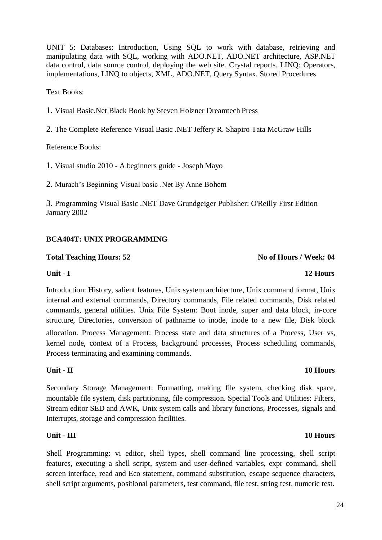24

UNIT 5: Databases: Introduction, Using SQL to work with database, retrieving and manipulating data with SQL, working with ADO.NET, ADO.NET architecture, ASP.NET data control, data source control, deploying the web site. Crystal reports. LINQ: Operators, implementations, LINQ to objects, XML, ADO.NET, Query Syntax. Stored Procedures

Text Books:

1. Visual Basic.Net Black Book by Steven Holzner Dreamtech Press

2. The Complete Reference Visual Basic .NET Jeffery R. Shapiro Tata McGraw Hills

Reference Books:

1. Visual studio 2010 - A beginners guide - Joseph Mayo

2. Murach's Beginning Visual basic .Net By Anne Bohem

3. Programming Visual Basic .NET Dave Grundgeiger Publisher: O'Reilly First Edition January 2002

## **BCA404T: UNIX PROGRAMMING**

### Total Teaching Hours: 52 **No. 2 No. 32 No. 32 No. 32 No. 32 No. 32 No. 32 No. 32 No. 32 No. 32 No. 32 No. 32 No. 32 No. 32 No. 32 No. 32 No. 32 No. 32 No. 32 No. 32 No. 32 No. 32**

Introduction: History, salient features, Unix system architecture, Unix command format, Unix internal and external commands, Directory commands, File related commands, Disk related commands, general utilities. Unix File System: Boot inode, super and data block, in-core structure, Directories, conversion of pathname to inode, inode to a new file, Disk block

allocation. Process Management: Process state and data structures of a Process, User vs, kernel node, context of a Process, background processes, Process scheduling commands, Process terminating and examining commands.

## **Unit - II 10 Hours**

Secondary Storage Management: Formatting, making file system, checking disk space, mountable file system, disk partitioning, file compression. Special Tools and Utilities: Filters, Stream editor SED and AWK, Unix system calls and library functions, Processes, signals and Interrupts, storage and compression facilities.

### **Unit - III 10 Hours**

Shell Programming: vi editor, shell types, shell command line processing, shell script features, executing a shell script, system and user-defined variables, expr command, shell screen interface, read and Eco statement, command substitution, escape sequence characters, shell script arguments, positional parameters, test command, file test, string test, numeric test.

# **Unit - I 12 Hours**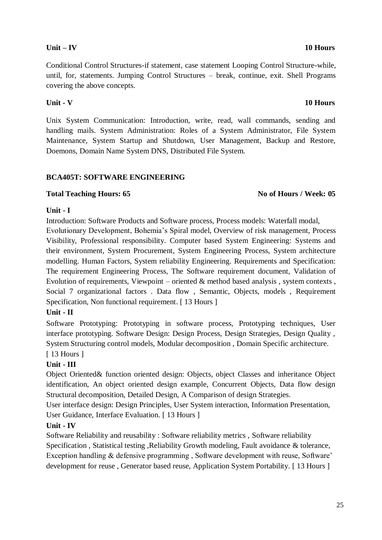# **Unit – IV 10 Hours**

Conditional Control Structures-if statement, case statement Looping Control Structure-while, until, for, statements. Jumping Control Structures – break, continue, exit. Shell Programs covering the above concepts.

### **Unit - V 10 Hours**

Unix System Communication: Introduction, write, read, wall commands, sending and handling mails. System Administration: Roles of a System Administrator, File System Maintenance, System Startup and Shutdown, User Management, Backup and Restore, Doemons, Domain Name System DNS, Distributed File System.

## **BCA405T: SOFTWARE ENGINEERING**

## **Total Teaching Hours: 65 No of Hours / Week: 05**

### **Unit - I**

Introduction: Software Products and Software process, Process models: Waterfall modal, Evolutionary Development, Bohemia's Spiral model, Overview of risk management, Process Visibility, Professional responsibility. Computer based System Engineering: Systems and their environment, System Procurement, System Engineering Process, System architecture modelling. Human Factors, System reliability Engineering. Requirements and Specification: The requirement Engineering Process, The Software requirement document, Validation of Evolution of requirements, Viewpoint – oriented  $\&$  method based analysis, system contexts, Social 7 organizational factors . Data flow , Semantic, Objects, models , Requirement Specification, Non functional requirement. [ 13 Hours ]

## **Unit - II**

Software Prototyping: Prototyping in software process, Prototyping techniques, User interface prototyping. Software Design: Design Process, Design Strategies, Design Quality , System Structuring control models, Modular decomposition , Domain Specific architecture.

# [ 13 Hours ]

## **Unit - III**

Object Oriented& function oriented design: Objects, object Classes and inheritance Object identification, An object oriented design example, Concurrent Objects, Data flow design Structural decomposition, Detailed Design, A Comparison of design Strategies.

User interface design: Design Principles, User System interaction, Information Presentation, User Guidance, Interface Evaluation. [ 13 Hours ]

## **Unit - IV**

Software Reliability and reusability : Software reliability metrics , Software reliability Specification , Statistical testing ,Reliability Growth modeling, Fault avoidance & tolerance, Exception handling & defensive programming , Software development with reuse, Software' development for reuse , Generator based reuse, Application System Portability. [ 13 Hours ]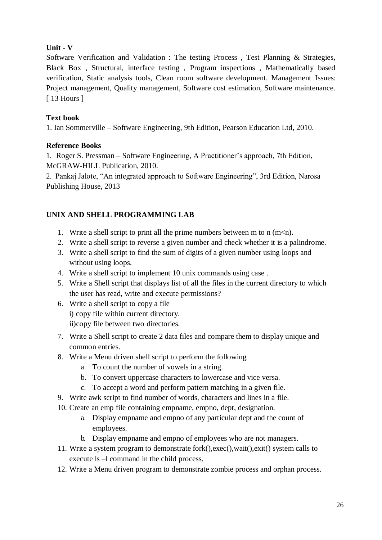### **Unit - V**

Software Verification and Validation : The testing Process , Test Planning & Strategies, Black Box , Structural, interface testing , Program inspections , Mathematically based verification, Static analysis tools, Clean room software development. Management Issues: Project management, Quality management, Software cost estimation, Software maintenance. [ 13 Hours ]

### **Text book**

1. Ian Sommerville – Software Engineering, 9th Edition, Pearson Education Ltd, 2010.

### **Reference Books**

1. Roger S. Pressman – Software Engineering, A Practitioner's approach, 7th Edition, McGRAW-HILL Publication, 2010.

2. Pankaj Jalote, "An integrated approach to Software Engineering", 3rd Edition, Narosa Publishing House, 2013

# **UNIX AND SHELL PROGRAMMING LAB**

- 1. Write a shell script to print all the prime numbers between m to n  $(m< n)$ .
- 2. Write a shell script to reverse a given number and check whether it is a palindrome.
- 3. Write a shell script to find the sum of digits of a given number using loops and without using loops.
- 4. Write a shell script to implement 10 unix commands using case .
- 5. Write a Shell script that displays list of all the files in the current directory to which the user has read, write and execute permissions?
- 6. Write a shell script to copy a file i) copy file within current directory. ii)copy file between two directories.
- 7. Write a Shell script to create 2 data files and compare them to display unique and common entries.
- 8. Write a Menu driven shell script to perform the following
	- a. To count the number of vowels in a string.
	- b. To convert uppercase characters to lowercase and vice versa.
	- c. To accept a word and perform pattern matching in a given file.
- 9. Write awk script to find number of words, characters and lines in a file.
- 10. Create an emp file containing empname, empno, dept, designation.
	- a. Display empname and empno of any particular dept and the count of employees.
	- b. Display empname and empno of employees who are not managers.
- 11. Write a system program to demonstrate fork(),exec(),wait(),exit() system calls to execute ls –l command in the child process.
- 12. Write a Menu driven program to demonstrate zombie process and orphan process.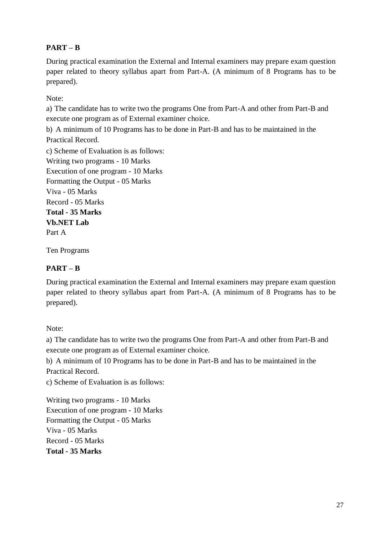# **PART – B**

During practical examination the External and Internal examiners may prepare exam question paper related to theory syllabus apart from Part-A. (A minimum of 8 Programs has to be prepared).

Note:

a) The candidate has to write two the programs One from Part-A and other from Part-B and execute one program as of External examiner choice.

b) A minimum of 10 Programs has to be done in Part-B and has to be maintained in the Practical Record.

c) Scheme of Evaluation is as follows: Writing two programs - 10 Marks Execution of one program - 10 Marks Formatting the Output - 05 Marks Viva - 05 Marks Record - 05 Marks **Total - 35 Marks Vb.NET Lab** Part A

Ten Programs

# **PART – B**

During practical examination the External and Internal examiners may prepare exam question paper related to theory syllabus apart from Part-A. (A minimum of 8 Programs has to be prepared).

Note:

a) The candidate has to write two the programs One from Part-A and other from Part-B and execute one program as of External examiner choice.

b) A minimum of 10 Programs has to be done in Part-B and has to be maintained in the Practical Record.

c) Scheme of Evaluation is as follows:

Writing two programs - 10 Marks Execution of one program - 10 Marks Formatting the Output - 05 Marks Viva - 05 Marks Record - 05 Marks **Total - 35 Marks**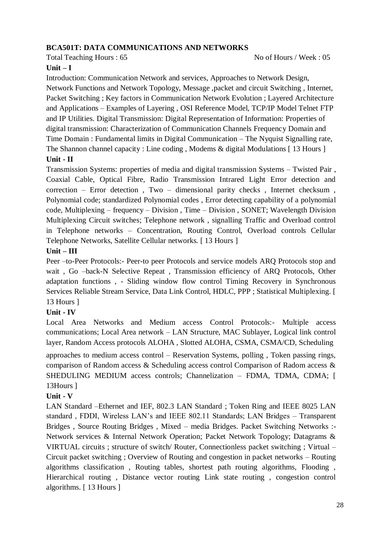### **BCA501T: DATA COMMUNICATIONS AND NETWORKS**

Total Teaching Hours : 65 No of Hours / Week : 05

### **Unit – I**

Introduction: Communication Network and services, Approaches to Network Design, Network Functions and Network Topology, Message ,packet and circuit Switching , Internet, Packet Switching ; Key factors in Communication Network Evolution ; Layered Architecture and Applications – Examples of Layering , OSI Reference Model, TCP/IP Model Telnet FTP and IP Utilities. Digital Transmission: Digital Representation of Information: Properties of digital transmission: Characterization of Communication Channels Frequency Domain and Time Domain : Fundamental limits in Digital Communication – The Nyquist Signalling rate, The Shannon channel capacity : Line coding, Modems & digital Modulations [13 Hours ] **Unit - II**

Transmission Systems: properties of media and digital transmission Systems – Twisted Pair , Coaxial Cable, Optical Fibre, Radio Transmission Intrared Light Error detection and correction – Error detection , Two – dimensional parity checks , Internet checksum , Polynomial code; standardized Polynomial codes , Error detecting capability of a polynomial code, Multiplexing – frequency – Division , Time – Division , SONET; Wavelength Division Multiplexing Circuit switches; Telephone network , signalling Traffic and Overload control in Telephone networks – Concentration, Routing Control, Overload controls Cellular Telephone Networks, Satellite Cellular networks. [ 13 Hours ]

### **Unit – III**

Peer –to-Peer Protocols:- Peer-to peer Protocols and service models ARQ Protocols stop and wait , Go –back-N Selective Repeat , Transmission efficiency of ARQ Protocols, Other adaptation functions , - Sliding window flow control Timing Recovery in Synchronous Services Reliable Stream Service, Data Link Control, HDLC, PPP ; Statistical Multiplexing. [ 13 Hours ]

## **Unit - IV**

Local Area Networks and Medium access Control Protocols:- Multiple access communications; Local Area network – LAN Structure, MAC Sublayer, Logical link control layer, Random Access protocols ALOHA , Slotted ALOHA, CSMA, CSMA/CD, Scheduling

approaches to medium access control – Reservation Systems, polling , Token passing rings, comparison of Random access & Scheduling access control Comparison of Radom access & SHEDULING MEDIUM access controls; Channelization – FDMA, TDMA, CDMA; [ 13Hours ]

## **Unit - V**

LAN Standard –Ethernet and IEF, 802.3 LAN Standard ; Token Ring and IEEE 8025 LAN standard , FDDI, Wireless LAN's and IEEE 802.11 Standards; LAN Bridges – Transparent Bridges , Source Routing Bridges , Mixed – media Bridges. Packet Switching Networks :- Network services & Internal Network Operation; Packet Network Topology; Datagrams & VIRTUAL circuits ; structure of switch/ Router, Connectionless packet switching ; Virtual – Circuit packet switching ; Overview of Routing and congestion in packet networks – Routing algorithms classification , Routing tables, shortest path routing algorithms, Flooding , Hierarchical routing , Distance vector routing Link state routing , congestion control algorithms. [ 13 Hours ]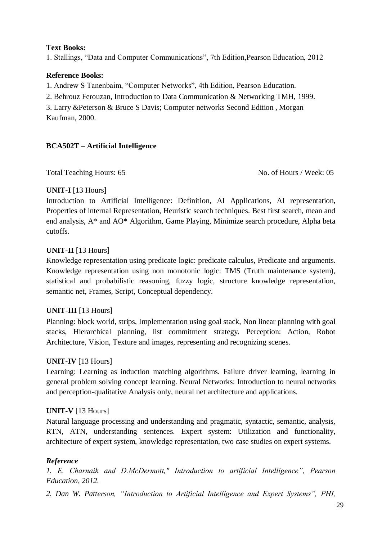### **Text Books:**

1. Stallings, "Data and Computer Communications", 7th Edition,Pearson Education, 2012

## **Reference Books:**

1. Andrew S Tanenbaim, "Computer Networks", 4th Edition, Pearson Education.

2. Behrouz Ferouzan, Introduction to Data Communication & Networking TMH, 1999.

3. Larry &Peterson & Bruce S Davis; Computer networks Second Edition , Morgan Kaufman, 2000.

# **BCA502T – Artificial Intelligence**

Total Teaching Hours: 65 No. of Hours / Week: 05

# **UNIT-I** [13 Hours]

Introduction to Artificial Intelligence: Definition, AI Applications, AI representation, Properties of internal Representation, Heuristic search techniques. Best first search, mean and end analysis, A\* and AO\* Algorithm, Game Playing, Minimize search procedure, Alpha beta cutoffs.

# **UNIT-II** [13 Hours]

Knowledge representation using predicate logic: predicate calculus, Predicate and arguments. Knowledge representation using non monotonic logic: TMS (Truth maintenance system), statistical and probabilistic reasoning, fuzzy logic, structure knowledge representation, semantic net, Frames, Script, Conceptual dependency.

## **UNIT-III** [13 Hours]

Planning: block world, strips, Implementation using goal stack, Non linear planning with goal stacks, Hierarchical planning, list commitment strategy. Perception: Action, Robot Architecture, Vision, Texture and images, representing and recognizing scenes.

## **UNIT-IV** [13 Hours]

Learning: Learning as induction matching algorithms. Failure driver learning, learning in general problem solving concept learning. Neural Networks: Introduction to neural networks and perception-qualitative Analysis only, neural net architecture and applications.

## **UNIT-V** [13 Hours]

Natural language processing and understanding and pragmatic, syntactic, semantic, analysis, RTN, ATN, understanding sentences. Expert system: Utilization and functionality, architecture of expert system, knowledge representation, two case studies on expert systems.

## *Reference*

*1. E. Charnaik and D.McDermott," Introduction to artificial Intelligence", Pearson Education, 2012.*

*2. Dan W. Patterson, "Introduction to Artificial Intelligence and Expert Systems", PHI,*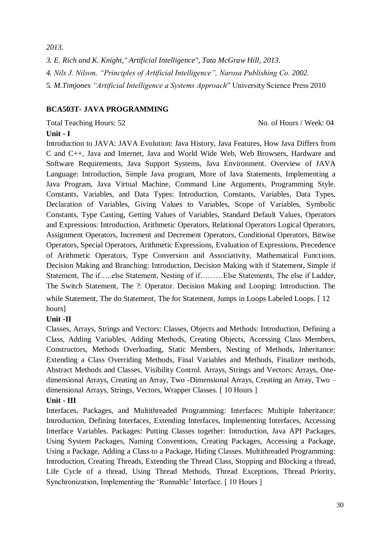*2013.*

*3. E. Rich and K. Knight," Artificial Intelligence", Tata McGraw Hill, 2013. 4. Nils J. Nilson, "Principles of Artificial Intelligence", Narosa Publishing Co. 2002.* 5. *M.Timjones "Artificial Intelligence a Systems Approach*" University Science Press 2010

## **BCA503T- JAVA PROGRAMMING**

Total Teaching Hours: 52 No. of Hours / Week: 04

### **Unit - I**

Introduction to JAVA: JAVA Evolution: Java History, Java Features, How Java Differs from C and C++, Java and Internet, Java and World Wide Web, Web Browsers, Hardware and Software Requirements, Java Support Systems, Java Environment. Overview of JAVA Language: Introduction, Simple Java program, More of Java Statements, Implementing a Java Program, Java Virtual Machine, Command Line Arguments, Programming Style. Constants, Variables, and Data Types: Introduction, Constants, Variables, Data Types, Declaration of Variables, Giving Values to Variables, Scope of Variables, Symbolic Constants, Type Casting, Getting Values of Variables, Standard Default Values, Operators and Expressions: Introduction, Arithmetic Operators, Relational Operators Logical Operators, Assignment Operators, Increment and Decrement Operators, Conditional Operators, Bitwise Operators, Special Operators, Arithmetic Expressions, Evaluation of Expressions, Precedence of Arithmetic Operators, Type Conversion and Associativity, Mathematical Functions. Decision Making and Branching: Introduction, Decision Making with if Statement, Simple if Statement, The if…..else Statement, Nesting of if………Else Statements, The else if Ladder, The Switch Statement, The ?: Operator. Decision Making and Looping: Introduction. The while Statement, The do Statement, The for Statement, Jumps in Loops Labeled Loops. [ 12 hours]

### **Unit -II**

Classes, Arrays, Strings and Vectors: Classes, Objects and Methods: Introduction, Defining a Class, Adding Variables, Adding Methods, Creating Objects, Accessing Class Members, Constructors, Methods Overloading, Static Members, Nesting of Methods, Inheritance: Extending a Class Overriding Methods, Final Variables and Methods, Finalizer methods, Abstract Methods and Classes, Visibility Control. Arrays, Strings and Vectors: Arrays, Onedimensional Arrays, Creating an Array, Two -Dimensional Arrays, Creating an Array, Two – dimensional Arrays, Strings, Vectors, Wrapper Classes. [ 10 Hours ]

## **Unit - III**

Interfaces, Packages, and Multithreaded Programming: Interfaces: Multiple Inheritance: Introduction, Defining Interfaces, Extending Interfaces, Implementing Interfaces, Accessing Interface Variables. Packages: Putting Classes together: Introduction, Java API Packages, Using System Packages, Naming Conventions, Creating Packages, Accessing a Package, Using a Package, Adding a Class to a Package, Hiding Classes. Multithreaded Programming: Introduction, Creating Threads, Extending the Thread Class, Stopping and Blocking a thread, Life Cycle of a thread, Using Thread Methods, Thread Exceptions, Thread Priority, Synchronization, Implementing the 'Runnable' Interface. [ 10 Hours ]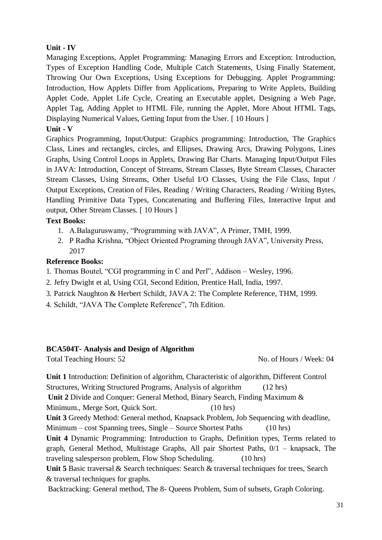### **Unit - IV**

Managing Exceptions, Applet Programming: Managing Errors and Exception: Introduction, Types of Exception Handling Code, Multiple Catch Statements, Using Finally Statement, Throwing Our Own Exceptions, Using Exceptions for Debugging. Applet Programming: Introduction, How Applets Differ from Applications, Preparing to Write Applets, Building Applet Code, Applet Life Cycle, Creating an Executable applet, Designing a Web Page, Applet Tag, Adding Applet to HTML File, running the Applet, More About HTML Tags, Displaying Numerical Values, Getting Input from the User. [ 10 Hours ]

### **Unit - V**

Graphics Programming, Input/Output: Graphics programming: Introduction, The Graphics Class, Lines and rectangles, circles, and Ellipses, Drawing Arcs, Drawing Polygons, Lines Graphs, Using Control Loops in Applets, Drawing Bar Charts. Managing Input/Output Files in JAVA: Introduction, Concept of Streams, Stream Classes, Byte Stream Classes, Character Stream Classes, Using Streams, Other Useful I/O Classes, Using the File Class, Input / Output Exceptions, Creation of Files, Reading / Writing Characters, Reading / Writing Bytes, Handling Primitive Data Types, Concatenating and Buffering Files, Interactive Input and output, Other Stream Classes. [ 10 Hours ]

### **Text Books:**

- 1. A.Balaguruswamy, "Programming with JAVA", A Primer, TMH, 1999.
- 2. P Radha Krishna, "Object Oriented Programing through JAVA", University Press, 2017

### **Reference Books:**

- 1. Thomas Boutel, "CGI programming in C and Perl", Addison Wesley, 1996.
- 2. Jefry Dwight et al, Using CGI, Second Edition, Prentice Hall, India, 1997.
- 3. Patrick Naughton & Herbert Schildt, JAVA 2: The Complete Reference, THM, 1999.
- 4. Schildt, "JAVA The Complete Reference", 7th Edition.

### **BCA504T- Analysis and Design of Algorithm**

Total Teaching Hours: 52 No. of Hours / Week: 04

**Unit 1** Introduction: Definition of algorithm, Characteristic of algorithm, Different Control Structures, Writing Structured Programs, Analysis of algorithm (12 hrs)

**Unit 2** Divide and Conquer: General Method, Binary Search, Finding Maximum &

Minimum., Merge Sort, Quick Sort. (10 hrs)

**Unit 3** Greedy Method: General method, Knapsack Problem, Job Sequencing with deadline,

Minimum – cost Spanning trees, Single – Source Shortest Paths (10 hrs)

**Unit 4** Dynamic Programming: Introduction to Graphs, Definition types, Terms related to graph, General Method, Multistage Graphs, All pair Shortest Paths, 0/1 – knapsack, The traveling salesperson problem, Flow Shop Scheduling. (10 hrs)

**Unit 5** Basic traversal & Search techniques: Search & traversal techniques for trees, Search & traversal techniques for graphs.

Backtracking: General method, The 8- Queens Problem, Sum of subsets, Graph Coloring.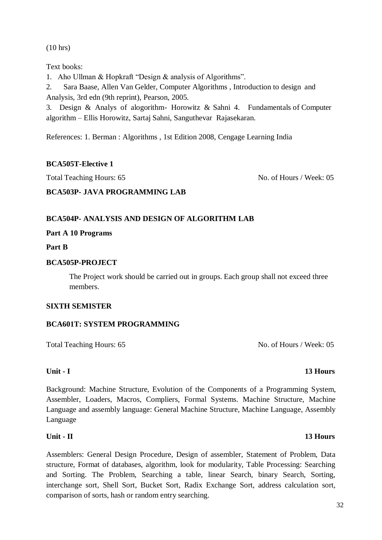(10 hrs)

Text books:

1. Aho Ullman & Hopkraft "Design & analysis of Algorithms".

2. Sara Baase, Allen Van Gelder, Computer Algorithms , Introduction to design and Analysis, 3rd edn (9th reprint), Pearson, 2005.

3. Design & Analys of alogorithm- Horowitz & Sahni 4. Fundamentals of Computer algorithm – Ellis Horowitz, Sartaj Sahni, Sanguthevar Rajasekaran.

References: 1. Berman : Algorithms , 1st Edition 2008, Cengage Learning India

### **BCA505T-Elective 1**

Total Teaching Hours: 65 No. of Hours / Week: 05

### **BCA503P- JAVA PROGRAMMING LAB**

### **BCA504P- ANALYSIS AND DESIGN OF ALGORITHM LAB**

### **Part A 10 Programs**

**Part B**

### **BCA505P-PROJECT**

The Project work should be carried out in groups. Each group shall not exceed three members.

### **SIXTH SEMISTER**

### **BCA601T: SYSTEM PROGRAMMING**

Total Teaching Hours: 65 No. of Hours / Week: 05

Background: Machine Structure, Evolution of the Components of a Programming System, Assembler, Loaders, Macros, Compliers, Formal Systems. Machine Structure, Machine Language and assembly language: General Machine Structure, Machine Language, Assembly Language

### **Unit - II 13 Hours**

Assemblers: General Design Procedure, Design of assembler, Statement of Problem, Data structure, Format of databases, algorithm, look for modularity, Table Processing: Searching and Sorting. The Problem, Searching a table, linear Search, binary Search, Sorting, interchange sort, Shell Sort, Bucket Sort, Radix Exchange Sort, address calculation sort, comparison of sorts, hash or random entry searching.

## **Unit - I 13 Hours**

### 32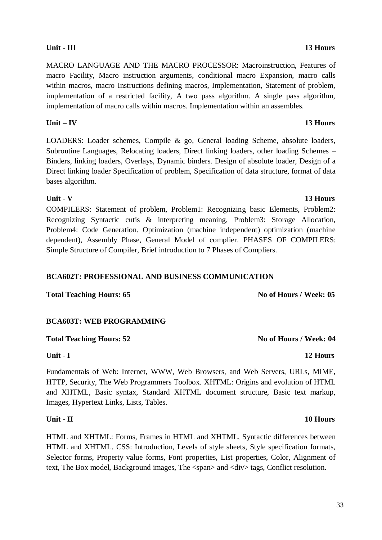MACRO LANGUAGE AND THE MACRO PROCESSOR: Macroinstruction, Features of macro Facility, Macro instruction arguments, conditional macro Expansion, macro calls within macros, macro Instructions defining macros, Implementation, Statement of problem, implementation of a restricted facility, A two pass algorithm. A single pass algorithm, implementation of macro calls within macros. Implementation within an assembles.

## **Unit – IV 13 Hours**

LOADERS: Loader schemes, Compile & go, General loading Scheme, absolute loaders, Subroutine Languages, Relocating loaders, Direct linking loaders, other loading Schemes – Binders, linking loaders, Overlays, Dynamic binders. Design of absolute loader, Design of a Direct linking loader Specification of problem, Specification of data structure, format of data bases algorithm.

COMPILERS: Statement of problem, Problem1: Recognizing basic Elements, Problem2: Recognizing Syntactic cutis & interpreting meaning, Problem3: Storage Allocation, Problem4: Code Generation. Optimization (machine independent) optimization (machine dependent), Assembly Phase, General Model of complier. PHASES OF COMPILERS: Simple Structure of Compiler, Brief introduction to 7 Phases of Compliers.

## **BCA602T: PROFESSIONAL AND BUSINESS COMMUNICATION**

**Total Teaching Hours: 65 No of Hours / Week: 05**

## **BCA603T: WEB PROGRAMMING**

# Total Teaching Hours: 52 **No of Hours / Week: 04 No of Hours / Week: 04**

## **Unit - I 12 Hours**

Fundamentals of Web: Internet, WWW, Web Browsers, and Web Servers, URLs, MIME, HTTP, Security, The Web Programmers Toolbox. XHTML: Origins and evolution of HTML and XHTML, Basic syntax, Standard XHTML document structure, Basic text markup, Images, Hypertext Links, Lists, Tables.

## **Unit - II 10 Hours**

HTML and XHTML: Forms, Frames in HTML and XHTML, Syntactic differences between HTML and XHTML. CSS: Introduction, Levels of style sheets, Style specification formats, Selector forms, Property value forms, Font properties, List properties, Color, Alignment of text, The Box model, Background images, The <span> and <div> tags, Conflict resolution.

### **Unit - V 13 Hours**

# **Unit - III 13 Hours**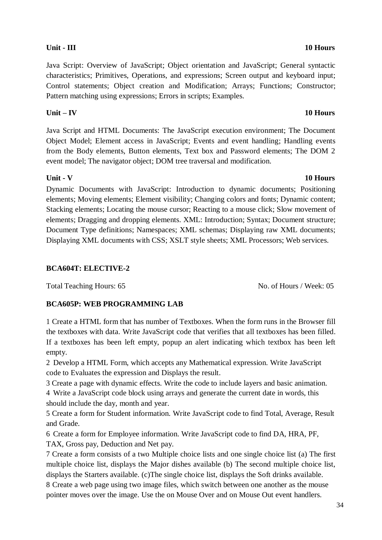Java Script: Overview of JavaScript; Object orientation and JavaScript; General syntactic characteristics; Primitives, Operations, and expressions; Screen output and keyboard input;

Control statements; Object creation and Modification; Arrays; Functions; Constructor; Pattern matching using expressions; Errors in scripts; Examples.

**Unit – IV 10 Hours**

Java Script and HTML Documents: The JavaScript execution environment; The Document Object Model; Element access in JavaScript; Events and event handling; Handling events from the Body elements, Button elements, Text box and Password elements; The DOM 2 event model; The navigator object; DOM tree traversal and modification.

**Unit - V 10 Hours** Dynamic Documents with JavaScript: Introduction to dynamic documents; Positioning elements; Moving elements; Element visibility; Changing colors and fonts; Dynamic content; Stacking elements; Locating the mouse cursor; Reacting to a mouse click; Slow movement of elements; Dragging and dropping elements. XML: Introduction; Syntax; Document structure; Document Type definitions; Namespaces; XML schemas; Displaying raw XML documents; Displaying XML documents with CSS; XSLT style sheets; XML Processors; Web services.

# **BCA604T: ELECTIVE-2**

Total Teaching Hours: 65 No. of Hours / Week: 05

# **BCA605P: WEB PROGRAMMING LAB**

1 Create a HTML form that has number of Textboxes. When the form runs in the Browser fill the textboxes with data. Write JavaScript code that verifies that all textboxes has been filled. If a textboxes has been left empty, popup an alert indicating which textbox has been left empty.

2 Develop a HTML Form, which accepts any Mathematical expression. Write JavaScript code to Evaluates the expression and Displays the result.

3 Create a page with dynamic effects. Write the code to include layers and basic animation.

4 Write a JavaScript code block using arrays and generate the current date in words, this should include the day, month and year.

5 Create a form for Student information. Write JavaScript code to find Total, Average, Result and Grade.

6 Create a form for Employee information. Write JavaScript code to find DA, HRA, PF, TAX, Gross pay, Deduction and Net pay.

7 Create a form consists of a two Multiple choice lists and one single choice list (a) The first multiple choice list, displays the Major dishes available (b) The second multiple choice list, displays the Starters available. (c)The single choice list, displays the Soft drinks available.

8 Create a web page using two image files, which switch between one another as the mouse pointer moves over the image. Use the on Mouse Over and on Mouse Out event handlers.

# **Unit - III 10 Hours**